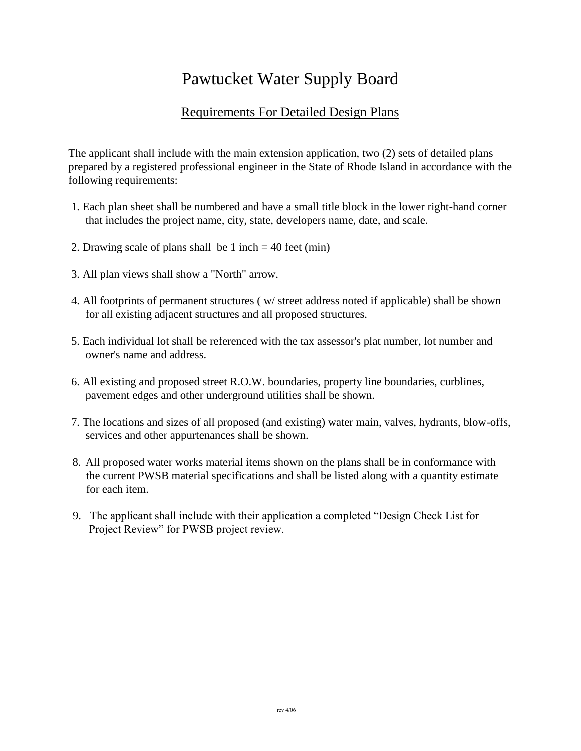## Pawtucket Water Supply Board

## Requirements For Detailed Design Plans

The applicant shall include with the main extension application, two (2) sets of detailed plans prepared by a registered professional engineer in the State of Rhode Island in accordance with the following requirements:

- 1. Each plan sheet shall be numbered and have a small title block in the lower right-hand corner that includes the project name, city, state, developers name, date, and scale.
- 2. Drawing scale of plans shall be 1 inch  $=$  40 feet (min)
- 3. All plan views shall show a "North" arrow.
- 4. All footprints of permanent structures ( w/ street address noted if applicable) shall be shown for all existing adjacent structures and all proposed structures.
- 5. Each individual lot shall be referenced with the tax assessor's plat number, lot number and owner's name and address.
- 6. All existing and proposed street R.O.W. boundaries, property line boundaries, curblines, pavement edges and other underground utilities shall be shown.
- 7. The locations and sizes of all proposed (and existing) water main, valves, hydrants, blow-offs, services and other appurtenances shall be shown.
- 8. All proposed water works material items shown on the plans shall be in conformance with the current PWSB material specifications and shall be listed along with a quantity estimate for each item.
- 9. The applicant shall include with their application a completed "Design Check List for Project Review" for PWSB project review.